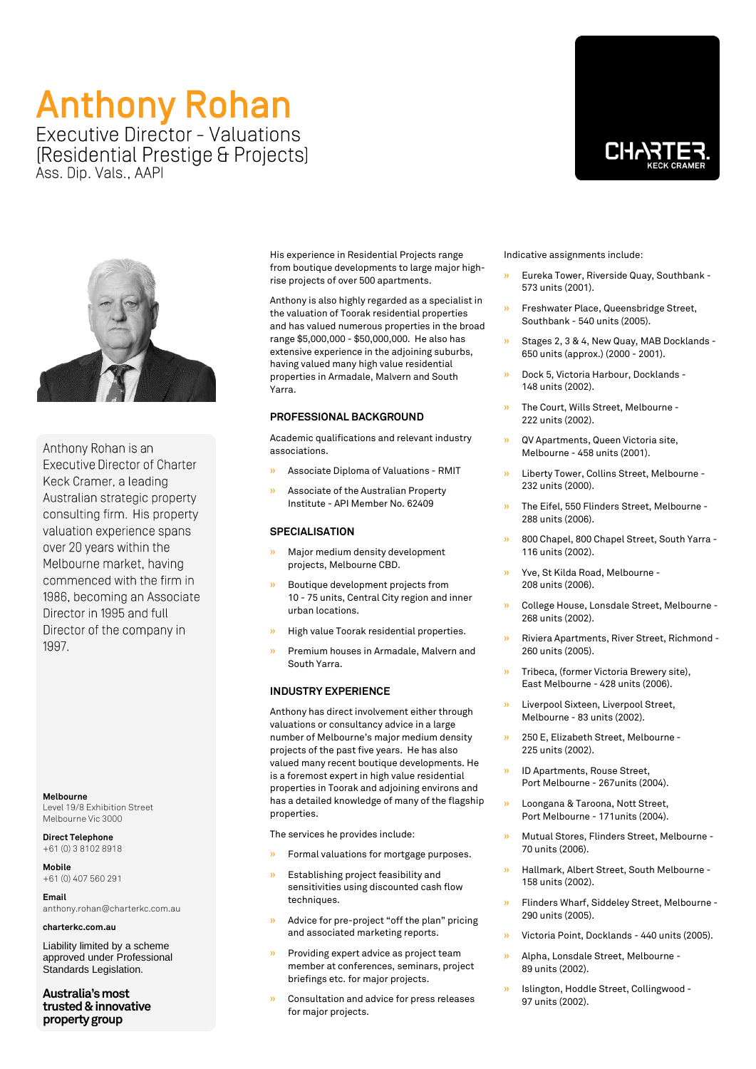## **Anthony Rohan Executive Director - Valuations**

[Residential Prestige & Projects] Ass. Dip. Vals., AAPI





Anthony Rohan is an **Executive Director of Charter** Keck Cramer, a leading Australian strategic property consulting firm. His property valuation experience spans over 20 years within the Melbourne market, having commenced with the firm in 1986, becoming an Associate Director in 1995 and full Director of the company in 1997.

**Melbourne** Level 19/8 Exhibition Street Melbourne Vic 3000

**Direct Telephone** +61 (0) 3 8102 8918

**Mobile** +61 (0) 407 560 291

**Email** anthony.rohan@charterkc.com.au

**charterkc.com.au**

Liability limited by a scheme approved under Professional Standards Legislation.

**Australia's most trusted & innovative property group**

His experience in Residential Projects range from boutique developments to large major highrise projects of over 500 apartments.

Anthony is also highly regarded as a specialist in the valuation of Toorak residential properties and has valued numerous properties in the broad range \$5,000,000 - \$50,000,000. He also has extensive experience in the adjoining suburbs, having valued many high value residential properties in Armadale, Malvern and South Yarra.

#### **PROFESSIONAL BACKGROUND**

Academic qualifications and relevant industry associations.

- » Associate Diploma of Valuations RMIT
- » Associate of the Australian Property Institute - API Member No. 62409

### **SPECIALISATION**

- » Major medium density development projects, Melbourne CBD.
- » Boutique development projects from 10 - 75 units, Central City region and inner urban locations.
- » High value Toorak residential properties.
- » Premium houses in Armadale, Malvern and South Yarra.

#### **INDUSTRY EXPERIENCE**

Anthony has direct involvement either through valuations or consultancy advice in a large number of Melbourne's major medium density projects of the past five years. He has also valued many recent boutique developments. He is a foremost expert in high value residential properties in Toorak and adjoining environs and has a detailed knowledge of many of the flagship properties.

The services he provides include:

- » Formal valuations for mortgage purposes.
- » Establishing project feasibility and sensitivities using discounted cash flow techniques.
- » Advice for pre-project "off the plan" pricing and associated marketing reports.
- » Providing expert advice as project team member at conferences, seminars, project briefings etc. for major projects.
- » Consultation and advice for press releases for major projects.

Indicative assignments include:

- » Eureka Tower, Riverside Quay, Southbank 573 units (2001).
- » Freshwater Place, Queensbridge Street, Southbank - 540 units (2005).
- » Stages 2, 3 & 4, New Quay, MAB Docklands 650 units (approx.) (2000 - 2001).
- » Dock 5, Victoria Harbour, Docklands 148 units (2002).
- » The Court, Wills Street, Melbourne 222 units (2002).
- » QV Apartments, Queen Victoria site, Melbourne - 458 units (2001).
- » Liberty Tower, Collins Street, Melbourne 232 units (2000).
- » The Eifel, 550 Flinders Street, Melbourne 288 units (2006).
- » 800 Chapel, 800 Chapel Street, South Yarra 116 units (2002).
- » Yve, St Kilda Road, Melbourne 208 units (2006).
- » College House, Lonsdale Street, Melbourne 268 units (2002).
- » Riviera Apartments, River Street, Richmond 260 units (2005).
- » Tribeca, (former Victoria Brewery site), East Melbourne - 428 units (2006).
- » Liverpool Sixteen, Liverpool Street, Melbourne - 83 units (2002).
- » 250 E, Elizabeth Street, Melbourne 225 units (2002).
- » ID Apartments, Rouse Street, Port Melbourne - 267units (2004).
- » Loongana & Taroona, Nott Street, Port Melbourne - 171units (2004).
- » Mutual Stores, Flinders Street, Melbourne 70 units (2006).
- » Hallmark, Albert Street, South Melbourne 158 units (2002).
- » Flinders Wharf, Siddeley Street, Melbourne 290 units (2005).
- » Victoria Point, Docklands 440 units (2005).
- » Alpha, Lonsdale Street, Melbourne 89 units (2002).
- » Islington, Hoddle Street, Collingwood 97 units (2002).